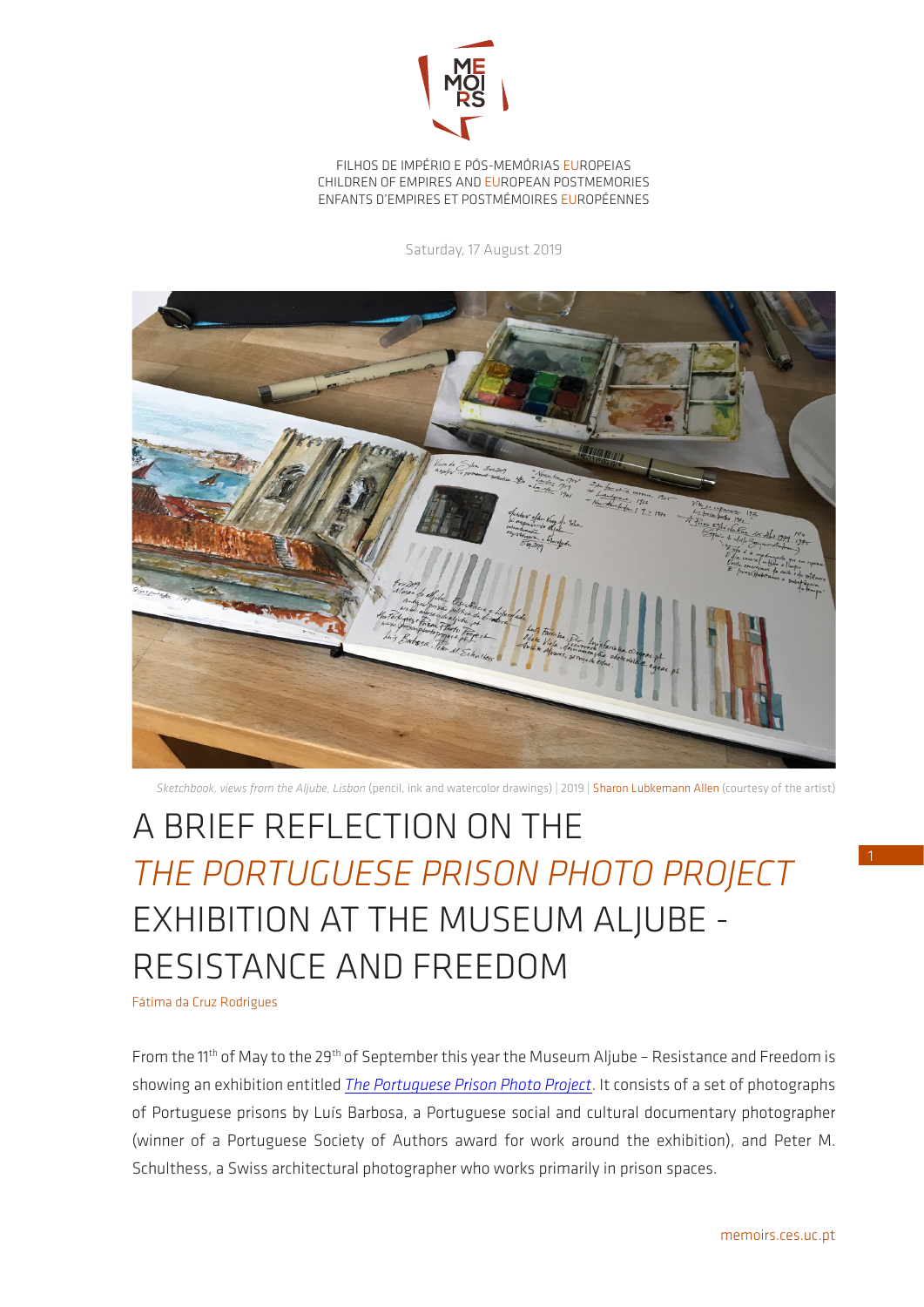

FILHOS DE IMPÉRIO E PÓS-MEMÓRIAS EUROPEIAS CHILDREN OF EMPIRES AND EUROPEAN POSTMEMORIES ENFANTS D'EMPIRES ET POSTMÉMOIRES EUROPÉENNES

Saturday, 17 August 2019



*Sketchbook, views from the Aljube, Lisbon* (pencil, ink and watercolor drawings) | 2019 | Sharon Lubkemann Allen (courtesy of the artist)

## A BRIEF REFLECTION ON THE *THE PORTUGUESE PRISON PHOTO PROJECT* EXHIBITION AT THE MUSEUM ALJUBE - RESISTANCE AND FREEDOM

Fátima da Cruz Rodrigues

From the 11<sup>th</sup> of May to the 29<sup>th</sup> of September this year the Museum Aljube - Resistance and Freedom is showing an exhibition entitled *[The Portuguese Prison Photo Project](https://www.prisonphotoproject.pt/en/pppp-en.html)*. It consists of a set of photographs of Portuguese prisons by Luís Barbosa, a Portuguese social and cultural documentary photographer (winner of a Portuguese Society of Authors award for work around the exhibition), and Peter M. Schulthess, a Swiss architectural photographer who works primarily in prison spaces.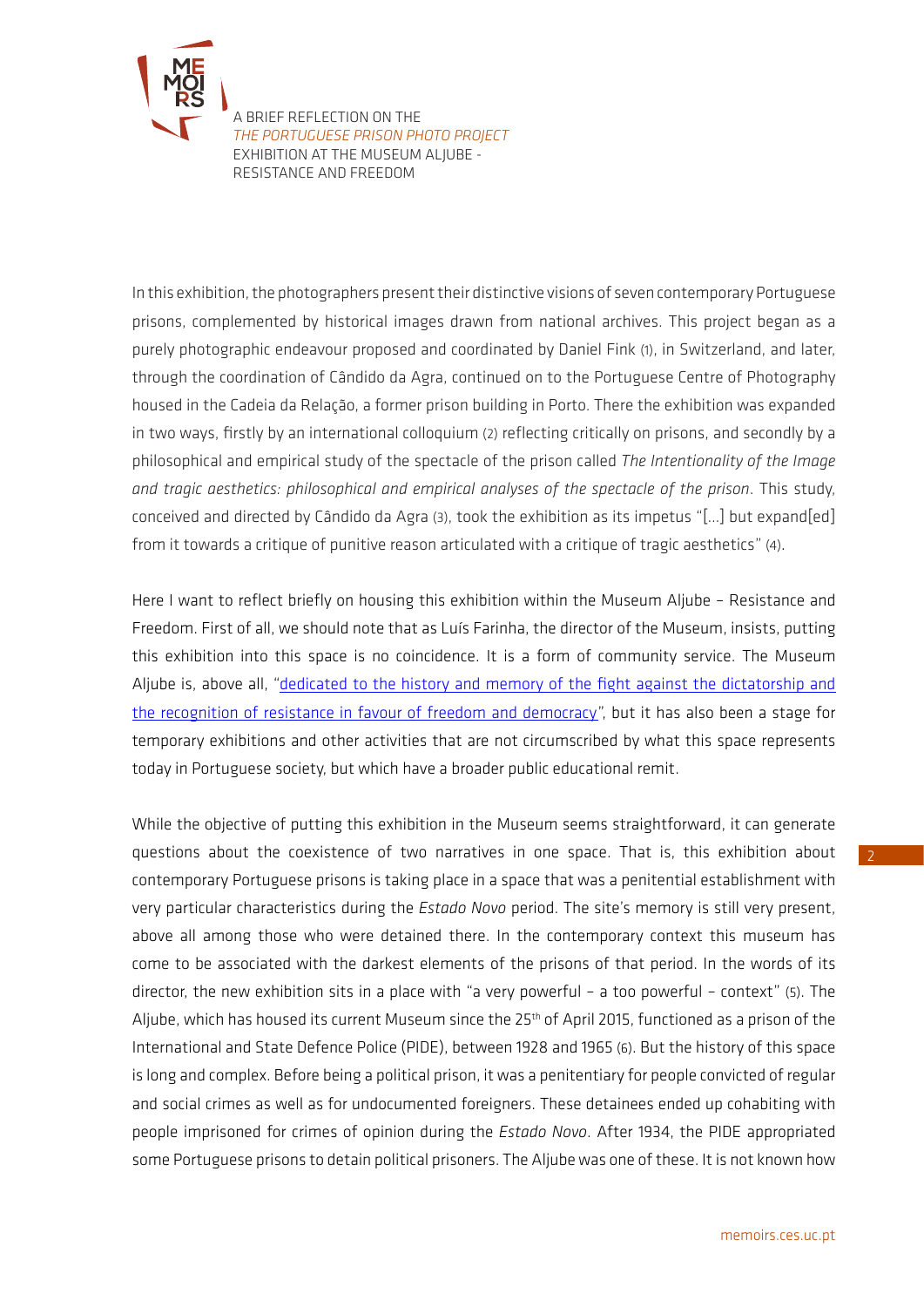

[A](http://memoirs.ces.uc.pt/index.php?id=22153&pag=22823&id_lingua=2) BRIEF REFLECTION ON THE *THE PORTUGUESE PRISON PHOTO PROJECT* EXHIBITION AT THE MUSEUM ALJUBE - RESISTANCE AND FREEDOM

In this exhibition, the photographers present their distinctive visions of seven contemporary Portuguese prisons, complemented by historical images drawn from national archives. This project began as a purely photographic endeavour proposed and coordinated by Daniel Fink (1), in Switzerland, and later, through the coordination of Cândido da Agra, continued on to the Portuguese Centre of Photography housed in the Cadeia da Relação, a former prison building in Porto. There the exhibition was expanded in two ways, firstly by an international colloquium (2) reflecting critically on prisons, and secondly by a philosophical and empirical study of the spectacle of the prison called *The Intentionality of the Image and tragic aesthetics: philosophical and empirical analyses of the spectacle of the prison*. This study, conceived and directed by Cândido da Agra (3), took the exhibition as its impetus "[…] but expand[ed] from it towards a critique of punitive reason articulated with a critique of tragic aesthetics" (4).

Here I want to reflect briefly on housing this exhibition within the Museum Aljube – Resistance and Freedom. First of all, we should note that as Luís Farinha, the director of the Museum, insists, putting this exhibition into this space is no coincidence. It is a form of community service. The Museum Aljube is, above all, "dedicated to the history and memory of the fight against the dictatorship and [the recognition of resistance in favour of freedom and democracy](https://www.museudoaljube.pt/en/)", but it has also been a stage for temporary exhibitions and other activities that are not circumscribed by what this space represents today in Portuguese society, but which have a broader public educational remit.

While the objective of putting this exhibition in the Museum seems straightforward, it can generate questions about the coexistence of two narratives in one space. That is, this exhibition about contemporary Portuguese prisons is taking place in a space that was a penitential establishment with very particular characteristics during the *Estado Novo* period. The site's memory is still very present, above all among those who were detained there. In the contemporary context this museum has come to be associated with the darkest elements of the prisons of that period. In the words of its director, the new exhibition sits in a place with "a very powerful – a too powerful – context" (5). The Aljube, which has housed its current Museum since the 25<sup>th</sup> of April 2015, functioned as a prison of the International and State Defence Police (PIDE), between 1928 and 1965 (6). But the history of this space is long and complex. Before being a political prison, it was a penitentiary for people convicted of regular and social crimes as well as for undocumented foreigners. These detainees ended up cohabiting with people imprisoned for crimes of opinion during the *Estado Novo*. After 1934, the PIDE appropriated some Portuguese prisons to detain political prisoners. The Aljube was one of these. It is not known how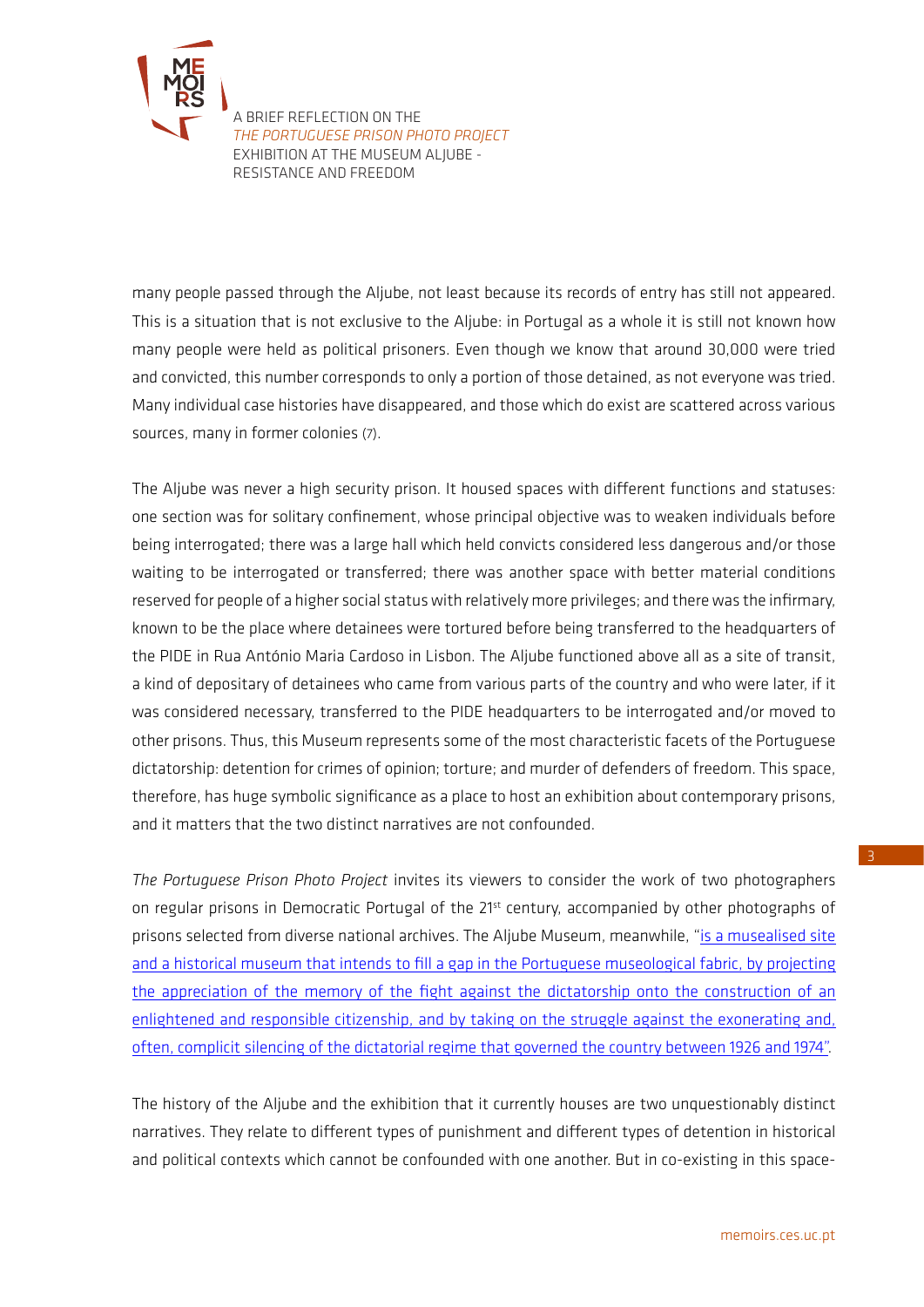

[A](http://memoirs.ces.uc.pt/index.php?id=22153&pag=22823&id_lingua=2) BRIEF REFLECTION ON THE *THE PORTUGUESE PRISON PHOTO PROJECT* EXHIBITION AT THE MUSEUM ALJUBE - RESISTANCE AND FREEDOM

many people passed through the Aljube, not least because its records of entry has still not appeared. This is a situation that is not exclusive to the Aljube: in Portugal as a whole it is still not known how many people were held as political prisoners. Even though we know that around 30,000 were tried and convicted, this number corresponds to only a portion of those detained, as not everyone was tried. Many individual case histories have disappeared, and those which do exist are scattered across various sources, many in former colonies (7).

The Aljube was never a high security prison. It housed spaces with different functions and statuses: one section was for solitary confinement, whose principal objective was to weaken individuals before being interrogated; there was a large hall which held convicts considered less dangerous and/or those waiting to be interrogated or transferred; there was another space with better material conditions reserved for people of a higher social status with relatively more privileges; and there was the infirmary, known to be the place where detainees were tortured before being transferred to the headquarters of the PIDE in Rua António Maria Cardoso in Lisbon. The Aljube functioned above all as a site of transit, a kind of depositary of detainees who came from various parts of the country and who were later, if it was considered necessary, transferred to the PIDE headquarters to be interrogated and/or moved to other prisons. Thus, this Museum represents some of the most characteristic facets of the Portuguese dictatorship: detention for crimes of opinion; torture; and murder of defenders of freedom. This space, therefore, has huge symbolic significance as a place to host an exhibition about contemporary prisons, and it matters that the two distinct narratives are not confounded.

*The Portuguese Prison Photo Project* invites its viewers to consider the work of two photographers on regular prisons in Democratic Portugal of the 21<sup>st</sup> century, accompanied by other photographs of prisons selected from diverse national archives. The Aljube Museum, meanwhile, ["is a musealised site](https://www.museudoaljube.pt/en/)  [and a historical museum that intends to fill a gap in the Portuguese museological fabric, by projecting](https://www.museudoaljube.pt/en/)  [the appreciation of the memory of the fight against the dictatorship onto the construction of an](https://www.museudoaljube.pt/en/)  [enlightened and responsible citizenship, and by taking on the struggle against the exonerating and,](https://www.museudoaljube.pt/en/)  [often, complicit silencing of the dictatorial regime that governed the country between 1926 and 1974"](https://www.museudoaljube.pt/en/).

The history of the Aljube and the exhibition that it currently houses are two unquestionably distinct narratives. They relate to different types of punishment and different types of detention in historical and political contexts which cannot be confounded with one another. But in co-existing in this space-